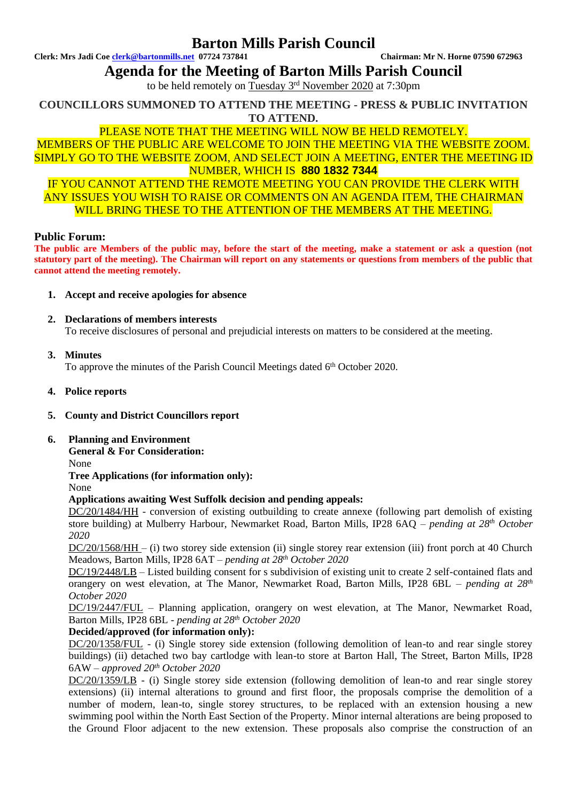## **Barton Mills Parish Council**

**Clerk: Mrs Jadi Coe [clerk@bartonmills.net](mailto:clerk@bartonmills.net) 07724 737841 Chairman: Mr N. Horne 07590 672963**

**Agenda for the Meeting of Barton Mills Parish Council**

to be held remotely on Tuesday 3<sup>rd</sup> November 2020 at 7:30pm

**COUNCILLORS SUMMONED TO ATTEND THE MEETING - PRESS & PUBLIC INVITATION TO ATTEND.**

## PLEASE NOTE THAT THE MEETING WILL NOW BE HELD REMOTELY.

MEMBERS OF THE PUBLIC ARE WELCOME TO JOIN THE MEETING VIA THE WEBSITE ZOOM. SIMPLY GO TO THE WEBSITE ZOOM, AND SELECT JOIN A MEETING, ENTER THE MEETING ID NUMBER, WHICH IS **880 1832 7344**

IF YOU CANNOT ATTEND THE REMOTE MEETING YOU CAN PROVIDE THE CLERK WITH ANY ISSUES YOU WISH TO RAISE OR COMMENTS ON AN AGENDA ITEM, THE CHAIRMAN WILL BRING THESE TO THE ATTENTION OF THE MEMBERS AT THE MEETING.

#### **Public Forum:**

**The public are Members of the public may, before the start of the meeting, make a statement or ask a question (not statutory part of the meeting). The Chairman will report on any statements or questions from members of the public that cannot attend the meeting remotely.**

- **1. Accept and receive apologies for absence**
- **2. Declarations of members interests** To receive disclosures of personal and prejudicial interests on matters to be considered at the meeting.
- **3. Minutes**

To approve the minutes of the Parish Council Meetings dated 6<sup>th</sup> October 2020.

- **4. Police reports**
- **5. County and District Councillors report**
- **6. Planning and Environment**

**General & For Consideration:**

None

**Tree Applications (for information only):** None

#### **Applications awaiting West Suffolk decision and pending appeals:**

DC/20/1484/HH - conversion of existing outbuilding to create annexe (following part demolish of existing store building) at Mulberry Harbour, Newmarket Road, Barton Mills, IP28 6AQ *– pending at 28th October 2020*

DC/20/1568/HH – (i) two storey side extension (ii) single storey rear extension (iii) front porch at 40 Church Meadows, Barton Mills, IP28 6AT *– pending at 28 th October 2020*

DC/19/2448/LB – Listed building consent for s subdivision of existing unit to create 2 self-contained flats and orangery on west elevation, at The Manor, Newmarket Road, Barton Mills, IP28 6BL – *pending at 28th October 2020*

DC/19/2447/FUL – Planning application, orangery on west elevation, at The Manor, Newmarket Road, Barton Mills, IP28 6BL - *pending at 28th October 2020*

### **Decided/approved (for information only):**

DC/20/1358/FUL - (i) Single storey side extension (following demolition of lean-to and rear single storey buildings) (ii) detached two bay cartlodge with lean-to store at Barton Hall, The Street, Barton Mills, IP28 6AW *– approved 20th October 2020*

DC/20/1359/LB - (i) Single storey side extension (following demolition of lean-to and rear single storey extensions) (ii) internal alterations to ground and first floor, the proposals comprise the demolition of a number of modern, lean-to, single storey structures, to be replaced with an extension housing a new swimming pool within the North East Section of the Property. Minor internal alterations are being proposed to the Ground Floor adjacent to the new extension. These proposals also comprise the construction of an